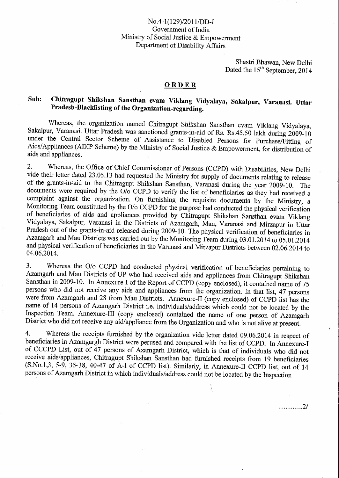## No.4-1(129)/2011/DD-I Government of India Ministry of Social Justice & Empowerment Department of Disability Affairs

Shastri Bhawan, New Delhi Dated the 15<sup>th</sup> September, 2014

........... 2/

## **ORDER**

## Sub: Chitragupt Shikshan Sansthan evam Viklang Vidyalaya, Sakalpur, Varanasi. Uttar Pradesh-Blacklisting of the Organization-regarding.

Whereas, the organization named Chitragupt Shikshan Sansthan evam Viklang Vidyalaya, Sakalpur, Varanasi. Uttar Pradesh was sanctioned grants-in-aid of Rs. Rs.45.50 lakh during 2009-10 under the Central Sector Scheme of Assistance to Disabled Persons for Purchase/Fitting of Aids/Appliances (ADIP Scheme) by the Ministry of Social Justice & Empowerment, for distribution of aids and appliances.

2. Whereas, the Office of Chief Commissioner of Persons (CCPD) with Disabilities, New Delhi vide their letter dated 23.05.13 had requested the Ministry for supply of documents relating to release of the grants-in-aid to the Chitragupt Shikshan Sansthan, Varanasi during the year 2009-10. The documents were required by the  $\tilde{O}/\tilde{O}$  CCPD to verify the list of beneficiaries as they had received a complaint against the organization. On furnishing the requisite documents by the Ministry, a Monitoring Team constituted by the 0/o CCPD for the purpose had conducted the physical verification of beneficiaries of aids and appliances provided by Chitragupt Shikshan Sansthan evam Viklang Vidyalaya, Sakalpur, Varanasi in the Districts of Azamgarh, Mau, Varanasi and Mirzapur in Uttar Pradesh out of the grants-in-aid released during 2009-10. The physical verification of beneficiaries in Azamgarh and Mau Districts was carried out by the Monitoring Team during 03.01.2014 to 05.01.2014 and physical verification of beneficiaries in the Varanasi and Mirzapur Districts between 02.06.2014 to 04.06.2014.

3. Whereas the 0/o CCPD had conducted physical verification of beneficiaries pertaining to Azamgarh and Mau Districts of UP who had received aids and appliances from Chitragupt Shikshan Sansthan in 2009-10. In Annexure-I of the Report of CCPD (copy enclosed), it contained name of 75 persons who did not receive any aids and appliances from the organization. In that list, 47 persons were from Azamgarh and 28 from Mau Districts. Annexure-Il (copy enclosed) of CCPD list has the name of 14 persons of Azamgarh District i.e, individuals/address which could not be located by the Inspection Team. Annexure-Ill (copy enclosed) contained the name of one person of Azamgarh District who did not receive any aid/appliance from the Organization and who is not alive at present.

4. Whereas the receipts furnished by the organization vide letter dated 09.06.2014 in respect of beneficiaries in Azamgargh District were perused and compared with the list of CCPD. In Annexure-1 of CCCPD List, out of 47 persons of Azamgarh District, which is that of individuals who did not receive aids/appliances, Chitragupt Shikshan Sansthan had furnished receipts from 19 beneficiaries (S.No.1,3, 5-9, 35-38, 40-47 of A-I of CCPD list). Similarly, in Annexure-II CCPD list, out of 14 persons of Azamgarh District in which individuals/address could not be located by the Inspection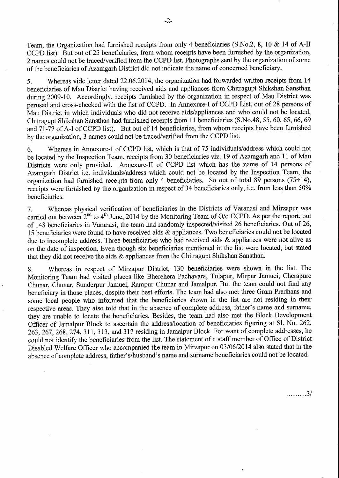Team, the Organization had furnished receipts from only 4 beneficiaries (S.No.2, 8, 10 & 14 of A-II CCPD list). But out of 25 beneficiaries, from whom receipts have been furnished by the organization, 2 names could not be traced/verified from the CCPD list. Photographs sent by the organization of some of the beneficiaries of Azamgarh District did not indicate the name of concerned beneficiary.

5. Whereas vide letter dated 22.06.2014, the organization had forwarded written receipts from 14 beneficiaries of Mau District having received aids and appliances from Chitragupt Shikshan Sansthan during 2009-10. Accordingly, receipts furnished by the organization in respect of Mau District was perused and cross-checked with the list of CCPD. In Annexure-1 of CCPD List, out of 28 persons of Mau District in which individuals who did not receive aids/appliances and who could not be located, Chitragupt Shikshan Sansthan had furnished receipts from 11 beneficiaries (S.No.48, 55, 60, 65, 66, 69 and 71-77 of A-I of CCPD list). But out of 14 beneficiaries, from whom receipts have been furnished by the organization, 3 names could not be traced/verified from the CCPD list.

6. Whereas in Annexure-I of CCPD list, which is that of 75 individuals/address which could not be located by the Inspection Team, receipts from 30 beneficiaries viz. 19 of Azamgarh and 11 of Mau Districts were only provided. Annexure-II of CCPD list which has the name of 14 persons of Azamgarh District i.e. individuals/address which could not be located by the Inspection Team, the organization had furnished receipts from only 4 beneficiaries. So out of total 89 persons (75+14), receipts were furnished by the organization in respect of 34 beneficiaries only, i.e. from less than 50% beneficiaries.

7, Whereas physical verification of beneficiaries in the Districts of Varanasi and Mirzapur was carried out between 2<sup>nd</sup> to 4<sup>th</sup> June, 2014 by the Monitoring Team of O/o CCPD. As per the report, out of 148 beneficiaries in Varanasi, the team had randomly inspected/visited 26 beneficiaries. Out of 26, 15 beneficiaries were found to have received aids & appliances. Two beneficiaries could not be located due to incomplete address. Three beneficiaries who had received aids & appliances were not alive as on the date of inspection. Even though six beneficiaries mentioned in the list were located, but stated that they did not receive the aids & appliances from the Chitragupt Shikshan Sansthan.

8. Whereas in respect of Mirzapur District, 130 beneficiaries were shown in the list. The Monitoring Team had visited places like Bherehera Pachavara, Tulapur, Mirpur Jamuei, Cherapure Chunar, Chunar, Sunderpur Jamuei, Rampur Chunar and Jamalpur. But the team could not find any beneficiary in those places, despite their best efforts. The team had also met three Gram Pradhans and some local people who informed that the beneficiaries shown in the list are not residing in their respective areas. They also told that in the absence of complete address, father's name and surname, they are unable to locate the beneficiaries. Besides, the team had also met the Block Development Officer of Jamalpur Block to ascertain the address/location of beneficiaries figuring at SL No. 262, 263, 267, 268, 274, 311, 313, and 317 residing in Jamalpur Block. For want of complete addresses, he could not identify the beneficiaries from the list. The statement of a staff member of Office of District Disabled Welfare Officer who accompanied the team in Mirzapur on 03/06/2014 also stated that in the absence of complete address, father's/husband's name and surname beneficiaries could not be located.

,,., 3/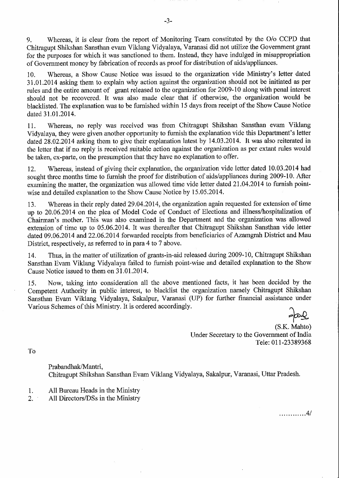9. Whereas, it is clear from the report of Monitoring Team constituted by the 0/o CCPD that Chitragupt Shikshan Sansthan evam Viklang Vidyalaya, Varanasi did not utilize the Government grant for the purposes for which it was sanctioned to them. Instead, they have indulged in misappropriation of Government money by fabrication of records as proof for distribution of aids/appliances.

10. Whereas, a Show Cause Notice was issued to the organization vide Ministry's letter dated 31.01.2014 asking them to explain why action against the organization should not be initiated as per rules and the entire amount of grant released to the organization for 2009-10 along with penal interest should not be recovered. It was also made clear that if otherwise, the organization would be blacklisted. The explanation was to be furnished within 15 days from receipt of the Show Cause Notice dated 31.01.2014.

11. Whereas, no reply was received was from Chitragupt Shikshan Sansthan evam Viklang Vidyalaya, they were given another opportunity to furnish the explanation vide this Department's letter dated 28.02.2014 asking them to give their explanation latest by 14.03.2014. It was also reiterated in the letter that if no reply is received suitable action against the organization as per extant rules would be taken, ex-parte, on the presumption that they have no explanation to offer.

12. Whereas, instead of giving their explanation, the organization vide letter dated 10.03.2014 had sought three months time to furnish the proof for distribution of aids/appliances during 2009-10. After examining the matter, the organization was allowed time vide letter dated 21.04.2014 to furnish pointwise and detailed explanation to the Show Cause Notice by 15.05.2014.

13. Whereas in their reply dated 29.04.2014, the organization again requested for extension of time up to 20.06.2014 on the plea of Model Code of Conduct of Elections and illness/hospitalization of Chairman's mother. This was also examined in the Department and the organization was allowed extension of time up to 05.06.2014. It was thereafter that Chitragupt Shikshan Sansthan vide letter dated 09.06.2014 and 22.06.2014 forwarded receipts from beneficiaries of Azamgrah District and Mau District, respectively, as referred to in para 4 to 7 above.

14. Thus, in the matter of utilization of grants-in-aid released during 2009-10, Chitragupt Shikshan Sansthan Evam Viklang Vidyalaya failed to furnish point-wise and detailed explanation to the Show Cause Notice issued to them on 31.01.2014.

15. Now, taking into consideration all the above mentioned facts, it has been decided by the Competent Authority in public interest, to blacklist the organization namely Chitragupt Shikshan Sansthan Evam Viklang Vidyalaya, Sakalpur, Varanasi (UP) for further financial assistance under Various Schemes of this Ministry. It is ordered accordingly.

............ 4/

(S.K. Mahto) Under Secretary to the Government of India Tele: 011-23389368

To

Prabandhak/Mantri, Chitragupt Shikshan Sansthan Evam Viklang Vidyalaya, Sakalpur, Varanasi, Uttar Pradesh.

1. All Bureau Heads in the Ministry

2. All Directors/DSs in the Ministry